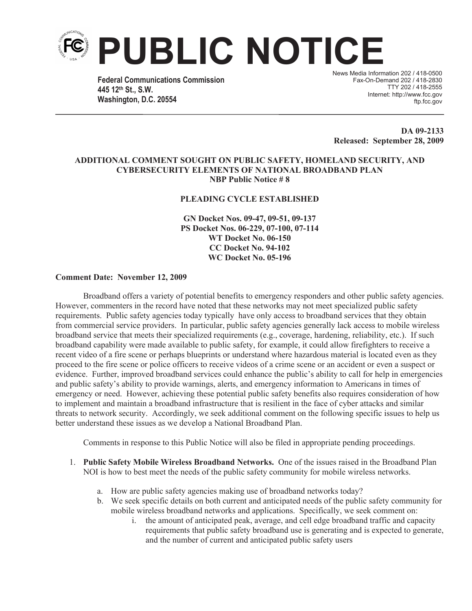

**Federal Communications Commission 445 12th St., S.W. Washington, D.C. 20554**

News Media Information 202 / 418-0500 Fax-On-Demand 202 / 418-2830 TTY 202 / 418-2555 Internet: http://www.fcc.gov ftp.fcc.gov

**DA 09-2133 Released: September 28, 2009**

## **ADDITIONAL COMMENT SOUGHT ON PUBLIC SAFETY, HOMELAND SECURITY, AND CYBERSECURITY ELEMENTS OF NATIONAL BROADBAND PLAN NBP Public Notice # 8**

## **PLEADING CYCLE ESTABLISHED**

**GN Docket Nos. 09-47, 09-51, 09-137 PS Docket Nos. 06-229, 07-100, 07-114 WT Docket No. 06-150 CC Docket No. 94-102 WC Docket No. 05-196**

## **Comment Date: November 12, 2009**

Broadband offers a variety of potential benefits to emergency responders and other public safety agencies. However, commenters in the record have noted that these networks may not meet specialized public safety requirements. Public safety agencies today typically have only access to broadband services that they obtain from commercial service providers. In particular, public safety agencies generally lack access to mobile wireless broadband service that meets their specialized requirements (e.g., coverage, hardening, reliability, etc.). If such broadband capability were made available to public safety, for example, it could allow firefighters to receive a recent video of a fire scene or perhaps blueprints or understand where hazardous material is located even as they proceed to the fire scene or police officers to receive videos of a crime scene or an accident or even a suspect or evidence. Further, improved broadband services could enhance the public's ability to call for help in emergencies and public safety's ability to provide warnings, alerts, and emergency information to Americans in times of emergency or need. However, achieving these potential public safety benefits also requires consideration of how to implement and maintain a broadband infrastructure that is resilient in the face of cyber attacks and similar threats to network security. Accordingly, we seek additional comment on the following specific issues to help us better understand these issues as we develop a National Broadband Plan.

Comments in response to this Public Notice will also be filed in appropriate pending proceedings.

- 1. **Public Safety Mobile Wireless Broadband Networks.** One of the issues raised in the Broadband Plan NOI is how to best meet the needs of the public safety community for mobile wireless networks.
	- a. How are public safety agencies making use of broadband networks today?
	- b. We seek specific details on both current and anticipated needs of the public safety community for mobile wireless broadband networks and applications. Specifically, we seek comment on:
		- i. the amount of anticipated peak, average, and cell edge broadband traffic and capacity requirements that public safety broadband use is generating and is expected to generate, and the number of current and anticipated public safety users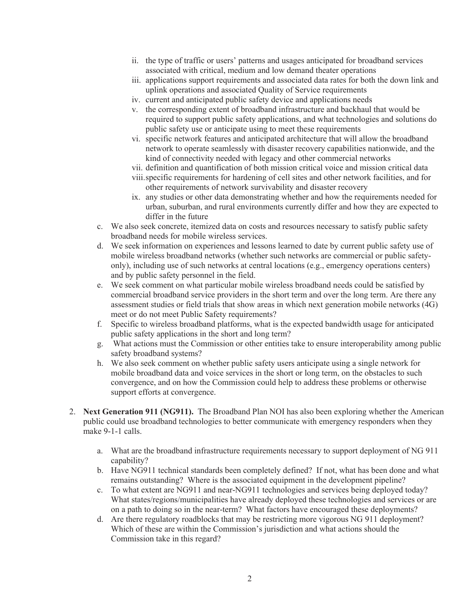- ii. the type of traffic or users' patterns and usages anticipated for broadband services associated with critical, medium and low demand theater operations
- iii. applications support requirements and associated data rates for both the down link and uplink operations and associated Quality of Service requirements
- iv. current and anticipated public safety device and applications needs
- v. the corresponding extent of broadband infrastructure and backhaul that would be required to support public safety applications, and what technologies and solutions do public safety use or anticipate using to meet these requirements
- vi. specific network features and anticipated architecture that will allow the broadband network to operate seamlessly with disaster recovery capabilities nationwide, and the kind of connectivity needed with legacy and other commercial networks
- vii. definition and quantification of both mission critical voice and mission critical data
- viii.specific requirements for hardening of cell sites and other network facilities, and for other requirements of network survivability and disaster recovery
- ix. any studies or other data demonstrating whether and how the requirements needed for urban, suburban, and rural environments currently differ and how they are expected to differ in the future
- c. We also seek concrete, itemized data on costs and resources necessary to satisfy public safety broadband needs for mobile wireless services.
- d. We seek information on experiences and lessons learned to date by current public safety use of mobile wireless broadband networks (whether such networks are commercial or public safetyonly), including use of such networks at central locations (e.g., emergency operations centers) and by public safety personnel in the field.
- e. We seek comment on what particular mobile wireless broadband needs could be satisfied by commercial broadband service providers in the short term and over the long term. Are there any assessment studies or field trials that show areas in which next generation mobile networks (4G) meet or do not meet Public Safety requirements?
- f. Specific to wireless broadband platforms, what is the expected bandwidth usage for anticipated public safety applications in the short and long term?
- g. What actions must the Commission or other entities take to ensure interoperability among public safety broadband systems?
- h. We also seek comment on whether public safety users anticipate using a single network for mobile broadband data and voice services in the short or long term, on the obstacles to such convergence, and on how the Commission could help to address these problems or otherwise support efforts at convergence.
- 2. **Next Generation 911 (NG911).** The Broadband Plan NOI has also been exploring whether the American public could use broadband technologies to better communicate with emergency responders when they make 9-1-1 calls.
	- a. What are the broadband infrastructure requirements necessary to support deployment of NG 911 capability?
	- b. Have NG911 technical standards been completely defined? If not, what has been done and what remains outstanding? Where is the associated equipment in the development pipeline?
	- c. To what extent are NG911 and near-NG911 technologies and services being deployed today? What states/regions/municipalities have already deployed these technologies and services or are on a path to doing so in the near-term? What factors have encouraged these deployments?
	- d. Are there regulatory roadblocks that may be restricting more vigorous NG 911 deployment? Which of these are within the Commission's jurisdiction and what actions should the Commission take in this regard?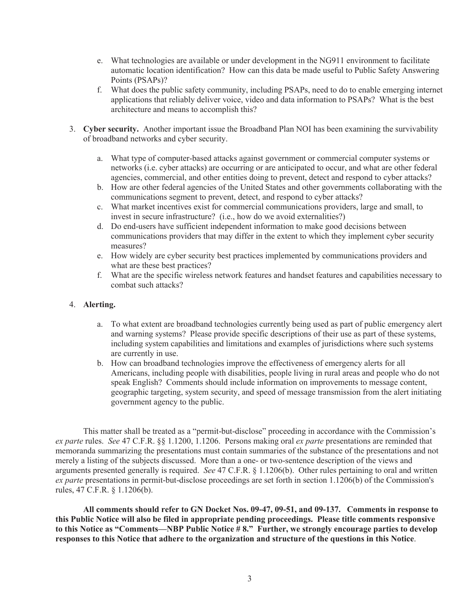- e. What technologies are available or under development in the NG911 environment to facilitate automatic location identification? How can this data be made useful to Public Safety Answering Points (PSAPs)?
- f. What does the public safety community, including PSAPs, need to do to enable emerging internet applications that reliably deliver voice, video and data information to PSAPs? What is the best architecture and means to accomplish this?
- 3. **Cyber security.** Another important issue the Broadband Plan NOI has been examining the survivability of broadband networks and cyber security.
	- a. What type of computer-based attacks against government or commercial computer systems or networks (i.e. cyber attacks) are occurring or are anticipated to occur, and what are other federal agencies, commercial, and other entities doing to prevent, detect and respond to cyber attacks?
	- b. How are other federal agencies of the United States and other governments collaborating with the communications segment to prevent, detect, and respond to cyber attacks?
	- c. What market incentives exist for commercial communications providers, large and small, to invest in secure infrastructure? (i.e., how do we avoid externalities?)
	- d. Do end-users have sufficient independent information to make good decisions between communications providers that may differ in the extent to which they implement cyber security measures?
	- e. How widely are cyber security best practices implemented by communications providers and what are these best practices?
	- f. What are the specific wireless network features and handset features and capabilities necessary to combat such attacks?

## 4. **Alerting.**

- a. To what extent are broadband technologies currently being used as part of public emergency alert and warning systems? Please provide specific descriptions of their use as part of these systems, including system capabilities and limitations and examples of jurisdictions where such systems are currently in use.
- b. How can broadband technologies improve the effectiveness of emergency alerts for all Americans, including people with disabilities, people living in rural areas and people who do not speak English? Comments should include information on improvements to message content, geographic targeting, system security, and speed of message transmission from the alert initiating government agency to the public.

This matter shall be treated as a "permit-but-disclose" proceeding in accordance with the Commission's *ex parte* rules. *See* 47 C.F.R. §§ 1.1200, 1.1206. Persons making oral *ex parte* presentations are reminded that memoranda summarizing the presentations must contain summaries of the substance of the presentations and not merely a listing of the subjects discussed. More than a one- or two-sentence description of the views and arguments presented generally is required. *See* 47 C.F.R. § 1.1206(b). Other rules pertaining to oral and written *ex parte* presentations in permit-but-disclose proceedings are set forth in section 1.1206(b) of the Commission's rules, 47 C.F.R. § 1.1206(b).

**All comments should refer to GN Docket Nos. 09-47, 09-51, and 09-137. Comments in response to this Public Notice will also be filed in appropriate pending proceedings. Please title comments responsive to this Notice as "Comments—NBP Public Notice # 8." Further, we strongly encourage parties to develop responses to this Notice that adhere to the organization and structure of the questions in this Notice**.